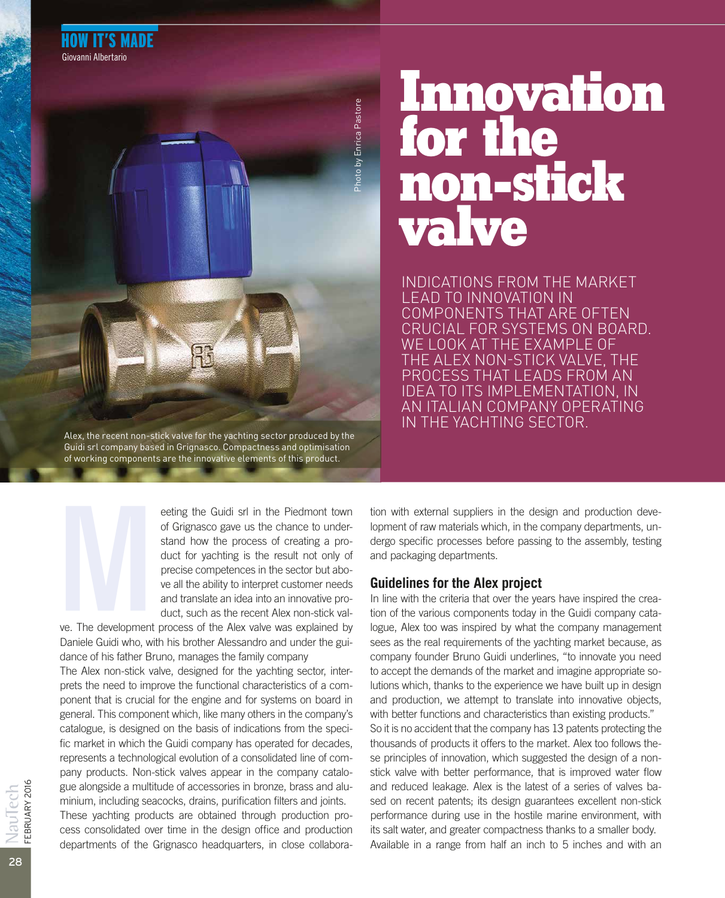

#### Alex, the recent non-stick valve for the yachting sector produced by the Guidi srl company based in Grignasco. Compactness and optimisation of working components are the innovative elements of this product.

eeting the Guidi srl in the Piedmont town of Grignasco gave us the chance to understand how the process of creating a product for yachting is the result not only of precise competences in the sector but above all the ability to interpret customer needs and translate an idea into an innovative product, such as the recent Alex non-stick val-

ve. The development process of the Alex valve was explained by Daniele Guidi who, with his brother Alessandro and under the guidance of his father Bruno, manages the family company ve. The development

The Alex non-stick valve, designed for the yachting sector, interprets the need to improve the functional characteristics of a component that is crucial for the engine and for systems on board in general. This component which, like many others in the company's catalogue, is designed on the basis of indications from the specific market in which the Guidi company has operated for decades, represents a technological evolution of a consolidated line of company products. Non-stick valves appear in the company catalogue alongside a multitude of accessories in bronze, brass and aluminium, including seacocks, drains, purification filters and joints. These yachting products are obtained through production process consolidated over time in the design office and production departments of the Grignasco headquarters, in close collaboration with external suppliers in the design and production development of raw materials which, in the company departments, undergo specific processes before passing to the assembly, testing and packaging departments.

INDICATIONS FROM THE MARKET

**non-stick** 

**Innovation** 

COMPONENTS THAT ARE OFTEN CRUCIAL FOR SYSTEMS ON BOARD.

WE LOOK AT THE EXAMPLE OF THE ALEX NON-STICK VALVE, THE PROCESS THAT LEADS FROM AN IDEA TO ITS IMPLEMENTATION, IN AN ITALIAN COMPANY OPERATING

IN THE YACHTING SECTOR.

LEAD TO INNOVATION IN

**valve** 

for the

#### **Guidelines for the Alex project**

In line with the criteria that over the years have inspired the creation of the various components today in the Guidi company catalogue, Alex too was inspired by what the company management sees as the real requirements of the yachting market because, as company founder Bruno Guidi underlines, "to innovate you need to accept the demands of the market and imagine appropriate solutions which, thanks to the experience we have built up in design and production, we attempt to translate into innovative objects, with better functions and characteristics than existing products." So it is no accident that the company has 13 patents protecting the thousands of products it offers to the market. Alex too follows these principles of innovation, which suggested the design of a nonstick valve with better performance, that is improved water flow and reduced leakage. Alex is the latest of a series of valves based on recent patents; its design guarantees excellent non-stick performance during use in the hostile marine environment, with its salt water, and greater compactness thanks to a smaller body. Available in a range from half an inch to 5 inches and with an

28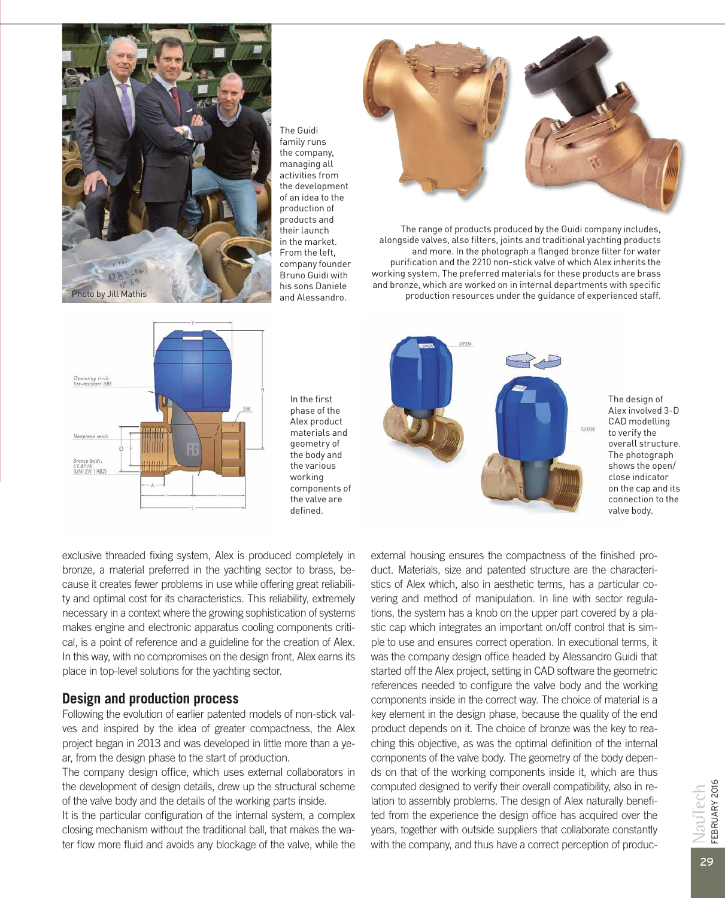

The Guidi family runs the company, managing all activities from the development of an idea to the production of products and their launch in the market. From the left, company founder Bruno Guidi with his sons Daniele and Alessandro.



The range of products produced by the Guidi company includes, alongside valves, also filters, joints and traditional yachting products and more. In the photograph a flanged bronze filter for water purification and the 2210 non-stick valve of which Alex inherits the working system. The preferred materials for these products are brass and bronze, which are worked on in internal departments with specific production resources under the guidance of experienced staff.



In the first phase of the Alex product materials and geometry of the body and the various working components of the valve are defined.



The design of Alex involved 3-D CAD modelling to verify the overall structure. The photograph shows the open/ close indicator on the cap and its connection to the valve body.

exclusive threaded fixing system, Alex is produced completely in bronze, a material preferred in the yachting sector to brass, because it creates fewer problems in use while offering great reliability and optimal cost for its characteristics. This reliability, extremely necessary in a context where the growing sophistication of systems makes engine and electronic apparatus cooling components critical, is a point of reference and a guideline for the creation of Alex. In this way, with no compromises on the design front, Alex earns its place in top-level solutions for the yachting sector.

## **Design and production process**

Following the evolution of earlier patented models of non-stick valves and inspired by the idea of greater compactness, the Alex project began in 2013 and was developed in little more than a year, from the design phase to the start of production.

The company design office, which uses external collaborators in the development of design details, drew up the structural scheme of the valve body and the details of the working parts inside.

It is the particular configuration of the internal system, a complex closing mechanism without the traditional ball, that makes the water flow more fluid and avoids any blockage of the valve, while the

external housing ensures the compactness of the finished product. Materials, size and patented structure are the characteristics of Alex which, also in aesthetic terms, has a particular covering and method of manipulation. In line with sector regulations, the system has a knob on the upper part covered by a plastic cap which integrates an important on/off control that is simple to use and ensures correct operation. In executional terms, it was the company design office headed by Alessandro Guidi that started off the Alex project, setting in CAD software the geometric references needed to configure the valve body and the working components inside in the correct way. The choice of material is a key element in the design phase, because the quality of the end product depends on it. The choice of bronze was the key to reaching this objective, as was the optimal definition of the internal components of the valve body. The geometry of the body depends on that of the working components inside it, which are thus computed designed to verify their overall compatibility, also in relation to assembly problems. The design of Alex naturally benefited from the experience the design office has acquired over the years, together with outside suppliers that collaborate constantly with the company, and thus have a correct perception of produc-